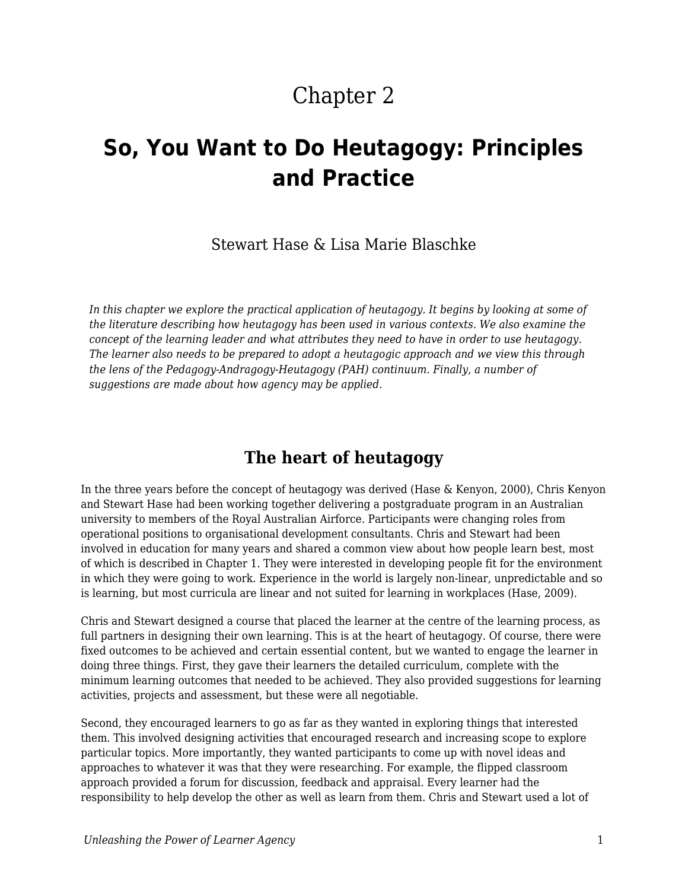# Chapter 2

# **So, You Want to Do Heutagogy: Principles and Practice**

Stewart Hase & Lisa Marie Blaschke

*In this chapter we explore the practical application of heutagogy. It begins by looking at some of the literature describing how heutagogy has been used in various contexts. We also examine the concept of the learning leader and what attributes they need to have in order to use heutagogy. The learner also needs to be prepared to adopt a heutagogic approach and we view this through the lens of the Pedagogy-Andragogy-Heutagogy (PAH) continuum. Finally, a number of suggestions are made about how agency may be applied.*

### **The heart of heutagogy**

In the three years before the concept of heutagogy was derived (Hase & Kenyon, 2000), Chris Kenyon and Stewart Hase had been working together delivering a postgraduate program in an Australian university to members of the Royal Australian Airforce. Participants were changing roles from operational positions to organisational development consultants. Chris and Stewart had been involved in education for many years and shared a common view about how people learn best, most of which is described in Chapter 1. They were interested in developing people fit for the environment in which they were going to work. Experience in the world is largely non-linear, unpredictable and so is learning, but most curricula are linear and not suited for learning in workplaces (Hase, 2009).

Chris and Stewart designed a course that placed the learner at the centre of the learning process, as full partners in designing their own learning. This is at the heart of heutagogy. Of course, there were fixed outcomes to be achieved and certain essential content, but we wanted to engage the learner in doing three things. First, they gave their learners the detailed curriculum, complete with the minimum learning outcomes that needed to be achieved. They also provided suggestions for learning activities, projects and assessment, but these were all negotiable.

Second, they encouraged learners to go as far as they wanted in exploring things that interested them. This involved designing activities that encouraged research and increasing scope to explore particular topics. More importantly, they wanted participants to come up with novel ideas and approaches to whatever it was that they were researching. For example, the flipped classroom approach provided a forum for discussion, feedback and appraisal. Every learner had the responsibility to help develop the other as well as learn from them. Chris and Stewart used a lot of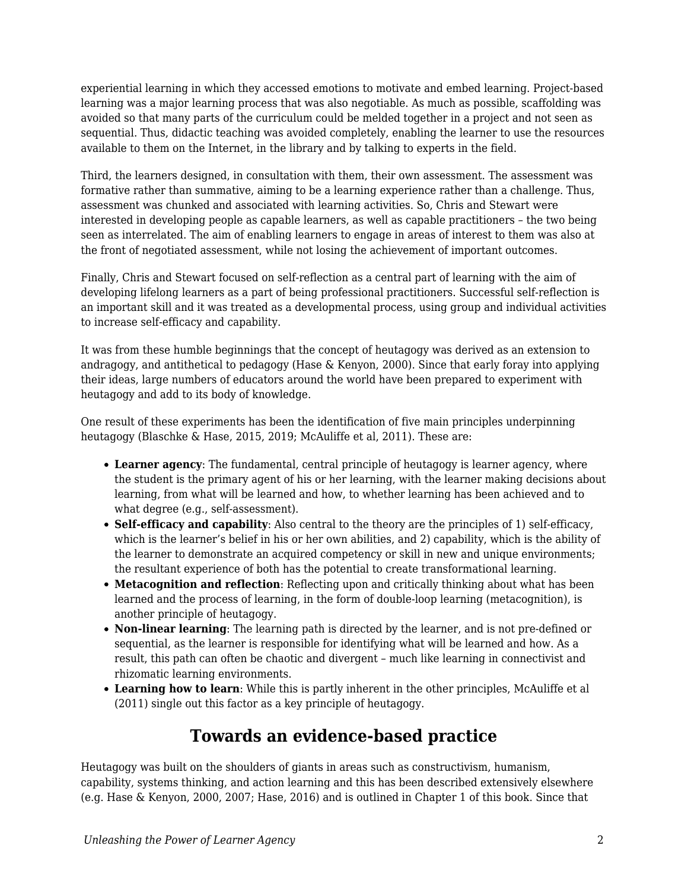experiential learning in which they accessed emotions to motivate and embed learning. Project-based learning was a major learning process that was also negotiable. As much as possible, scaffolding was avoided so that many parts of the curriculum could be melded together in a project and not seen as sequential. Thus, didactic teaching was avoided completely, enabling the learner to use the resources available to them on the Internet, in the library and by talking to experts in the field.

Third, the learners designed, in consultation with them, their own assessment. The assessment was formative rather than summative, aiming to be a learning experience rather than a challenge. Thus, assessment was chunked and associated with learning activities. So, Chris and Stewart were interested in developing people as capable learners, as well as capable practitioners – the two being seen as interrelated. The aim of enabling learners to engage in areas of interest to them was also at the front of negotiated assessment, while not losing the achievement of important outcomes.

Finally, Chris and Stewart focused on self-reflection as a central part of learning with the aim of developing lifelong learners as a part of being professional practitioners. Successful self-reflection is an important skill and it was treated as a developmental process, using group and individual activities to increase self-efficacy and capability.

It was from these humble beginnings that the concept of heutagogy was derived as an extension to andragogy, and antithetical to pedagogy (Hase & Kenyon, 2000). Since that early foray into applying their ideas, large numbers of educators around the world have been prepared to experiment with heutagogy and add to its body of knowledge.

One result of these experiments has been the identification of five main principles underpinning heutagogy (Blaschke & Hase, 2015, 2019; McAuliffe et al, 2011). These are:

- **Learner agency**: The fundamental, central principle of heutagogy is learner agency, where the student is the primary agent of his or her learning, with the learner making decisions about learning, from what will be learned and how, to whether learning has been achieved and to what degree (e.g., self-assessment).
- **Self-efficacy and capability**: Also central to the theory are the principles of 1) self-efficacy, which is the learner's belief in his or her own abilities, and 2) capability, which is the ability of the learner to demonstrate an acquired competency or skill in new and unique environments; the resultant experience of both has the potential to create transformational learning.
- **Metacognition and reflection**: Reflecting upon and critically thinking about what has been learned and the process of learning, in the form of double-loop learning (metacognition), is another principle of heutagogy.
- **Non-linear learning**: The learning path is directed by the learner, and is not pre-defined or sequential, as the learner is responsible for identifying what will be learned and how. As a result, this path can often be chaotic and divergent – much like learning in connectivist and rhizomatic learning environments.
- **Learning how to learn**: While this is partly inherent in the other principles, McAuliffe et al (2011) single out this factor as a key principle of heutagogy.

# **Towards an evidence-based practice**

Heutagogy was built on the shoulders of giants in areas such as constructivism, humanism, capability, systems thinking, and action learning and this has been described extensively elsewhere (e.g. Hase & Kenyon, 2000, 2007; Hase, 2016) and is outlined in Chapter 1 of this book. Since that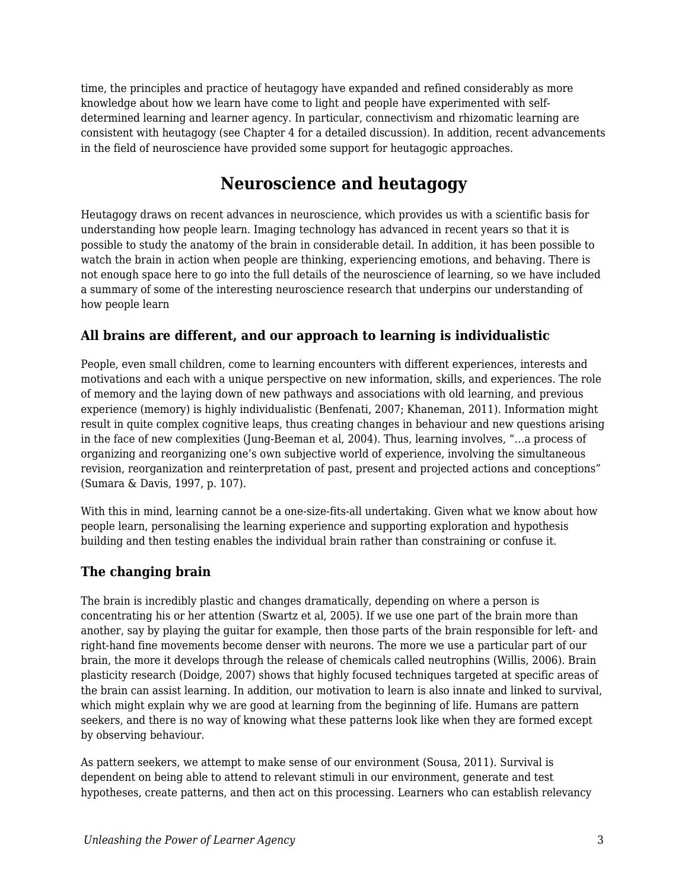time, the principles and practice of heutagogy have expanded and refined considerably as more knowledge about how we learn have come to light and people have experimented with selfdetermined learning and learner agency. In particular, connectivism and rhizomatic learning are consistent with heutagogy (see Chapter 4 for a detailed discussion). In addition, recent advancements in the field of neuroscience have provided some support for heutagogic approaches.

# **Neuroscience and heutagogy**

Heutagogy draws on recent advances in neuroscience, which provides us with a scientific basis for understanding how people learn. Imaging technology has advanced in recent years so that it is possible to study the anatomy of the brain in considerable detail. In addition, it has been possible to watch the brain in action when people are thinking, experiencing emotions, and behaving. There is not enough space here to go into the full details of the neuroscience of learning, so we have included a summary of some of the interesting neuroscience research that underpins our understanding of how people learn

#### **All brains are different, and our approach to learning is individualistic**

People, even small children, come to learning encounters with different experiences, interests and motivations and each with a unique perspective on new information, skills, and experiences. The role of memory and the laying down of new pathways and associations with old learning, and previous experience (memory) is highly individualistic (Benfenati, 2007; Khaneman, 2011). Information might result in quite complex cognitive leaps, thus creating changes in behaviour and new questions arising in the face of new complexities (Jung-Beeman et al, 2004). Thus, learning involves, "…a process of organizing and reorganizing one's own subjective world of experience, involving the simultaneous revision, reorganization and reinterpretation of past, present and projected actions and conceptions" (Sumara & Davis, 1997, p. 107).

With this in mind, learning cannot be a one-size-fits-all undertaking. Given what we know about how people learn, personalising the learning experience and supporting exploration and hypothesis building and then testing enables the individual brain rather than constraining or confuse it.

#### **The changing brain**

The brain is incredibly plastic and changes dramatically, depending on where a person is concentrating his or her attention (Swartz et al, 2005). If we use one part of the brain more than another, say by playing the guitar for example, then those parts of the brain responsible for left- and right-hand fine movements become denser with neurons. The more we use a particular part of our brain, the more it develops through the release of chemicals called neutrophins (Willis, 2006). Brain plasticity research (Doidge, 2007) shows that highly focused techniques targeted at specific areas of the brain can assist learning. In addition, our motivation to learn is also innate and linked to survival, which might explain why we are good at learning from the beginning of life. Humans are pattern seekers, and there is no way of knowing what these patterns look like when they are formed except by observing behaviour.

As pattern seekers, we attempt to make sense of our environment (Sousa, 2011). Survival is dependent on being able to attend to relevant stimuli in our environment, generate and test hypotheses, create patterns, and then act on this processing. Learners who can establish relevancy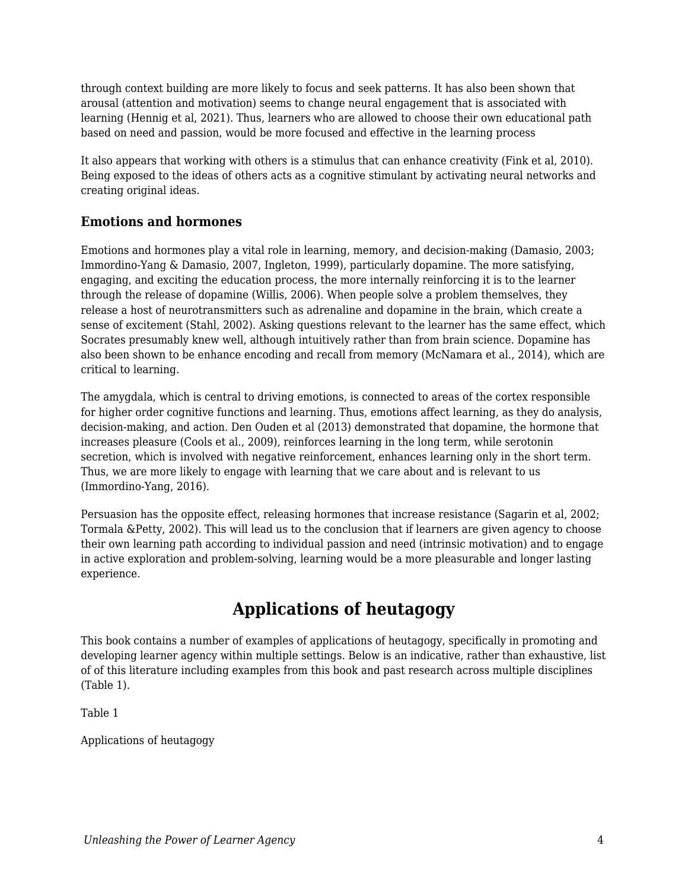through context building are more likely to focus and seek patterns. It has also been shown that arousal (attention and motivation) seems to change neural engagement that is associated with learning (Hennig et al, 2021). Thus, learners who are allowed to choose their own educational path based on need and passion, would be more focused and effective in the learning process

It also appears that working with others is a stimulus that can enhance creativity (Fink et al, 2010). Being exposed to the ideas of others acts as a cognitive stimulant by activating neural networks and creating original ideas.

#### **Emotions and hormones**

Emotions and hormones play a vital role in learning, memory, and decision-making (Damasio, 2003; Immordino-Yang & Damasio, 2007, Ingleton, 1999), particularly dopamine. The more satisfying, engaging, and exciting the education process, the more internally reinforcing it is to the learner through the release of dopamine (Willis, 2006). When people solve a problem themselves, they release a host of neurotransmitters such as adrenaline and dopamine in the brain, which create a sense of excitement (Stahl, 2002). Asking questions relevant to the learner has the same effect, which Socrates presumably knew well, although intuitively rather than from brain science. Dopamine has also been shown to be enhance encoding and recall from memory (McNamara et al., 2014), which are critical to learning.

The amygdala, which is central to driving emotions, is connected to areas of the cortex responsible for higher order cognitive functions and learning. Thus, emotions affect learning, as they do analysis, decision-making, and action. Den Ouden et al (2013) demonstrated that dopamine, the hormone that increases pleasure (Cools et al., 2009), reinforces learning in the long term, while serotonin secretion, which is involved with negative reinforcement, enhances learning only in the short term. Thus, we are more likely to engage with learning that we care about and is relevant to us (Immordino-Yang, 2016).

Persuasion has the opposite effect, releasing hormones that increase resistance (Sagarin et al, 2002; Tormala &Petty, 2002). This will lead us to the conclusion that if learners are given agency to choose their own learning path according to individual passion and need (intrinsic motivation) and to engage in active exploration and problem-solving, learning would be a more pleasurable and longer lasting experience.

# **Applications of heutagogy**

This book contains a number of examples of applications of heutagogy, specifically in promoting and developing learner agency within multiple settings. Below is an indicative, rather than exhaustive, list of of this literature including examples from this book and past research across multiple disciplines (Table 1).

Table 1

Applications of heutagogy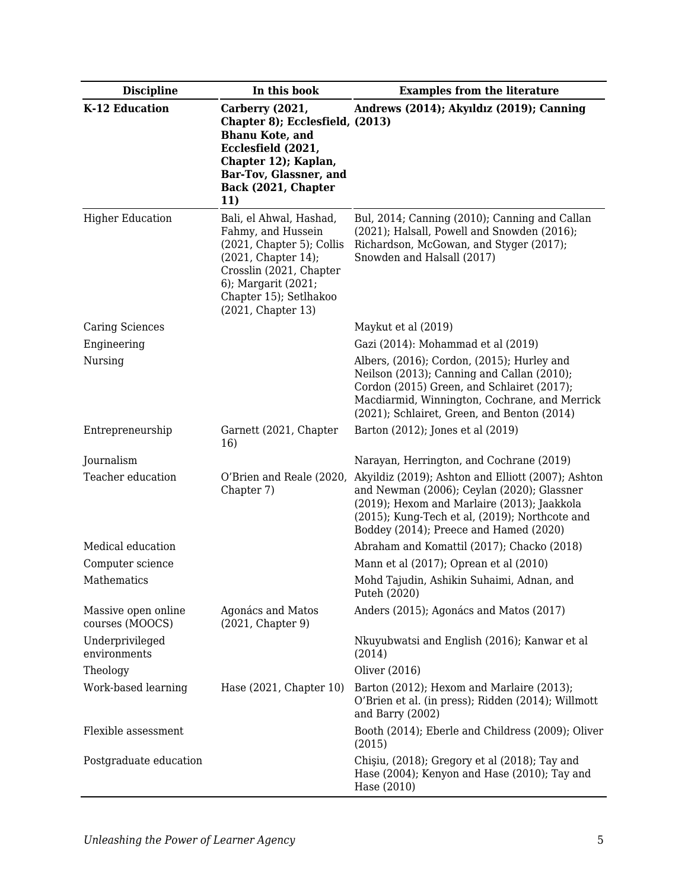| <b>Discipline</b>                      | In this book                                                                                                                                                                                        | <b>Examples from the literature</b>                                                                                                                                                                                                         |
|----------------------------------------|-----------------------------------------------------------------------------------------------------------------------------------------------------------------------------------------------------|---------------------------------------------------------------------------------------------------------------------------------------------------------------------------------------------------------------------------------------------|
| K-12 Education                         | Carberry (2021,<br>Chapter 8); Ecclesfield, (2013)<br><b>Bhanu Kote, and</b><br>Ecclesfield (2021,<br>Chapter 12); Kaplan,<br>Bar-Tov, Glassner, and<br>Back (2021, Chapter<br>11)                  | Andrews (2014); Akyıldız (2019); Canning                                                                                                                                                                                                    |
| <b>Higher Education</b>                | Bali, el Ahwal, Hashad,<br>Fahmy, and Hussein<br>(2021, Chapter 5); Collis<br>(2021, Chapter 14);<br>Crosslin (2021, Chapter<br>6); Margarit (2021;<br>Chapter 15); Setlhakoo<br>(2021, Chapter 13) | Bul, 2014; Canning (2010); Canning and Callan<br>(2021); Halsall, Powell and Snowden (2016);<br>Richardson, McGowan, and Styger (2017);<br>Snowden and Halsall (2017)                                                                       |
| <b>Caring Sciences</b>                 |                                                                                                                                                                                                     | Maykut et al (2019)                                                                                                                                                                                                                         |
| Engineering                            |                                                                                                                                                                                                     | Gazi (2014): Mohammad et al (2019)                                                                                                                                                                                                          |
| Nursing                                |                                                                                                                                                                                                     | Albers, (2016); Cordon, (2015); Hurley and<br>Neilson (2013); Canning and Callan (2010);<br>Cordon (2015) Green, and Schlairet (2017);<br>Macdiarmid, Winnington, Cochrane, and Merrick<br>(2021); Schlairet, Green, and Benton (2014)      |
| Entrepreneurship                       | Garnett (2021, Chapter<br>16)                                                                                                                                                                       | Barton (2012); Jones et al (2019)                                                                                                                                                                                                           |
| Journalism                             |                                                                                                                                                                                                     | Narayan, Herrington, and Cochrane (2019)                                                                                                                                                                                                    |
| Teacher education                      | O'Brien and Reale (2020,<br>Chapter 7)                                                                                                                                                              | Akyildiz (2019); Ashton and Elliott (2007); Ashton<br>and Newman (2006); Ceylan (2020); Glassner<br>(2019); Hexom and Marlaire (2013); Jaakkola<br>(2015); Kung-Tech et al, (2019); Northcote and<br>Boddey (2014); Preece and Hamed (2020) |
| Medical education                      |                                                                                                                                                                                                     | Abraham and Komattil (2017); Chacko (2018)                                                                                                                                                                                                  |
| Computer science                       |                                                                                                                                                                                                     | Mann et al (2017); Oprean et al (2010)                                                                                                                                                                                                      |
| Mathematics                            |                                                                                                                                                                                                     | Mohd Tajudin, Ashikin Suhaimi, Adnan, and<br>Puteh (2020)                                                                                                                                                                                   |
| Massive open online<br>courses (MOOCS) | Agonács and Matos<br>(2021, Chapter 9)                                                                                                                                                              | Anders (2015); Agonács and Matos (2017)                                                                                                                                                                                                     |
| Underprivileged<br>environments        |                                                                                                                                                                                                     | Nkuyubwatsi and English (2016); Kanwar et al<br>(2014)                                                                                                                                                                                      |
| Theology                               |                                                                                                                                                                                                     | Oliver (2016)                                                                                                                                                                                                                               |
| Work-based learning                    | Hase (2021, Chapter 10)                                                                                                                                                                             | Barton (2012); Hexom and Marlaire (2013);<br>O'Brien et al. (in press); Ridden (2014); Willmott<br>and Barry (2002)                                                                                                                         |
| Flexible assessment                    |                                                                                                                                                                                                     | Booth (2014); Eberle and Childress (2009); Oliver<br>(2015)                                                                                                                                                                                 |
| Postgraduate education                 |                                                                                                                                                                                                     | Chişiu, (2018); Gregory et al (2018); Tay and<br>Hase (2004); Kenyon and Hase (2010); Tay and<br>Hase (2010)                                                                                                                                |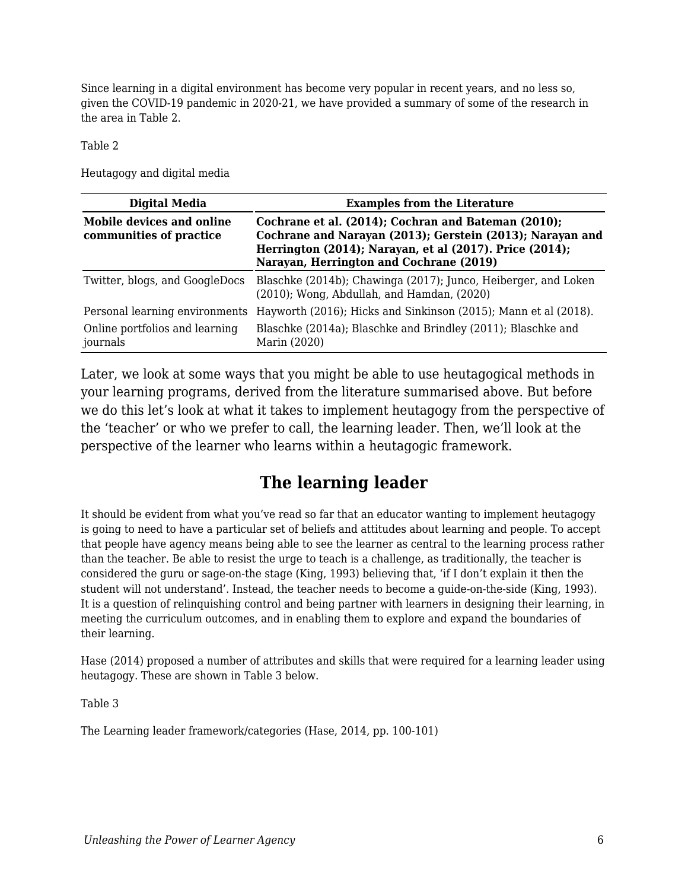Since learning in a digital environment has become very popular in recent years, and no less so, given the COVID-19 pandemic in 2020-21, we have provided a summary of some of the research in the area in Table 2.

Table 2

Heutagogy and digital media

| Digital Media                                        | <b>Examples from the Literature</b>                                                                                                                                                                                    |  |
|------------------------------------------------------|------------------------------------------------------------------------------------------------------------------------------------------------------------------------------------------------------------------------|--|
| Mobile devices and online<br>communities of practice | Cochrane et al. (2014); Cochran and Bateman (2010);<br>Cochrane and Narayan (2013); Gerstein (2013); Narayan and<br>Herrington (2014); Narayan, et al (2017). Price (2014);<br>Narayan, Herrington and Cochrane (2019) |  |
| Twitter, blogs, and GoogleDocs                       | Blaschke (2014b); Chawinga (2017); Junco, Heiberger, and Loken<br>$(2010)$ ; Wong, Abdullah, and Hamdan, $(2020)$                                                                                                      |  |
| Personal learning environments                       | Hayworth (2016); Hicks and Sinkinson (2015); Mann et al (2018).                                                                                                                                                        |  |
| Online portfolios and learning<br>journals           | Blaschke (2014a); Blaschke and Brindley (2011); Blaschke and<br>Marin (2020)                                                                                                                                           |  |

Later, we look at some ways that you might be able to use heutagogical methods in your learning programs, derived from the literature summarised above. But before we do this let's look at what it takes to implement heutagogy from the perspective of the 'teacher' or who we prefer to call, the learning leader. Then, we'll look at the perspective of the learner who learns within a heutagogic framework.

# **The learning leader**

It should be evident from what you've read so far that an educator wanting to implement heutagogy is going to need to have a particular set of beliefs and attitudes about learning and people. To accept that people have agency means being able to see the learner as central to the learning process rather than the teacher. Be able to resist the urge to teach is a challenge, as traditionally, the teacher is considered the guru or sage-on-the stage (King, 1993) believing that, 'if I don't explain it then the student will not understand'. Instead, the teacher needs to become a guide-on-the-side (King, 1993). It is a question of relinquishing control and being partner with learners in designing their learning, in meeting the curriculum outcomes, and in enabling them to explore and expand the boundaries of their learning.

Hase (2014) proposed a number of attributes and skills that were required for a learning leader using heutagogy. These are shown in Table 3 below.

Table 3

The Learning leader framework/categories (Hase, 2014, pp. 100-101)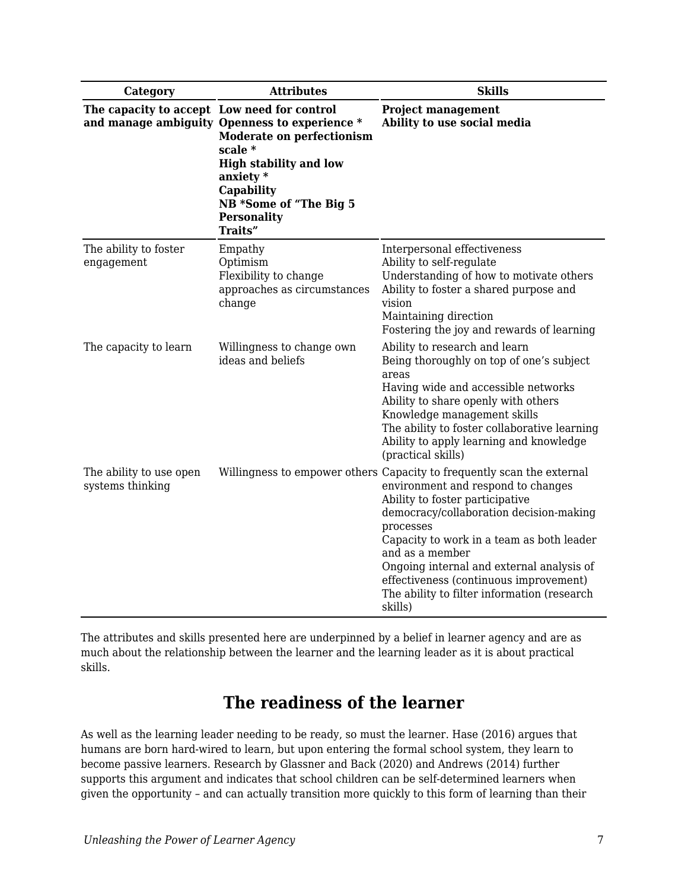| Category                                    | <b>Attributes</b>                                                                                                                                                                                                     | <b>Skills</b>                                                                                                                                                                                                                                                                                                                                                                                                            |
|---------------------------------------------|-----------------------------------------------------------------------------------------------------------------------------------------------------------------------------------------------------------------------|--------------------------------------------------------------------------------------------------------------------------------------------------------------------------------------------------------------------------------------------------------------------------------------------------------------------------------------------------------------------------------------------------------------------------|
| The capacity to accept Low need for control | and manage ambiguity Openness to experience *<br><b>Moderate on perfectionism</b><br>scale *<br><b>High stability and low</b><br>anxiety $*$<br>Capability<br>NB *Some of "The Big 5<br><b>Personality</b><br>Traits" | <b>Project management</b><br>Ability to use social media                                                                                                                                                                                                                                                                                                                                                                 |
| The ability to foster<br>engagement         | Empathy<br>Optimism<br>Flexibility to change<br>approaches as circumstances<br>change                                                                                                                                 | Interpersonal effectiveness<br>Ability to self-regulate<br>Understanding of how to motivate others<br>Ability to foster a shared purpose and<br>vision<br>Maintaining direction<br>Fostering the joy and rewards of learning                                                                                                                                                                                             |
| The capacity to learn                       | Willingness to change own<br>ideas and beliefs                                                                                                                                                                        | Ability to research and learn<br>Being thoroughly on top of one's subject<br>areas<br>Having wide and accessible networks<br>Ability to share openly with others<br>Knowledge management skills<br>The ability to foster collaborative learning<br>Ability to apply learning and knowledge<br>(practical skills)                                                                                                         |
| The ability to use open<br>systems thinking |                                                                                                                                                                                                                       | Willingness to empower others Capacity to frequently scan the external<br>environment and respond to changes<br>Ability to foster participative<br>democracy/collaboration decision-making<br>processes<br>Capacity to work in a team as both leader<br>and as a member<br>Ongoing internal and external analysis of<br>effectiveness (continuous improvement)<br>The ability to filter information (research<br>skills) |

The attributes and skills presented here are underpinned by a belief in learner agency and are as much about the relationship between the learner and the learning leader as it is about practical skills.

# **The readiness of the learner**

As well as the learning leader needing to be ready, so must the learner. Hase (2016) argues that humans are born hard-wired to learn, but upon entering the formal school system, they learn to become passive learners. Research by Glassner and Back (2020) and Andrews (2014) further supports this argument and indicates that school children can be self-determined learners when given the opportunity – and can actually transition more quickly to this form of learning than their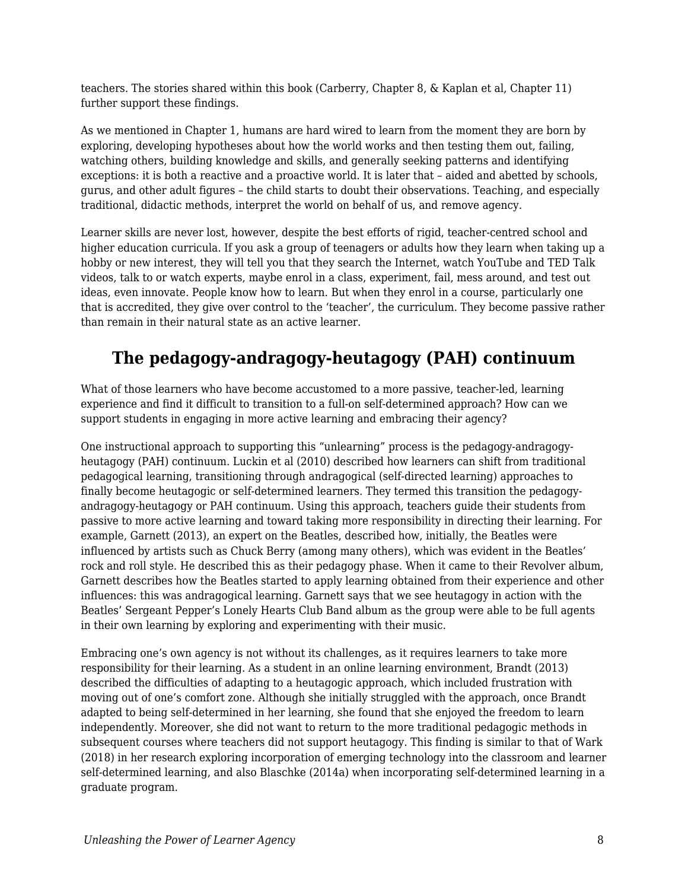teachers. The stories shared within this book (Carberry, Chapter 8, & Kaplan et al, Chapter 11) further support these findings.

As we mentioned in Chapter 1, humans are hard wired to learn from the moment they are born by exploring, developing hypotheses about how the world works and then testing them out, failing, watching others, building knowledge and skills, and generally seeking patterns and identifying exceptions: it is both a reactive and a proactive world. It is later that – aided and abetted by schools, gurus, and other adult figures – the child starts to doubt their observations. Teaching, and especially traditional, didactic methods, interpret the world on behalf of us, and remove agency.

Learner skills are never lost, however, despite the best efforts of rigid, teacher-centred school and higher education curricula. If you ask a group of teenagers or adults how they learn when taking up a hobby or new interest, they will tell you that they search the Internet, watch YouTube and TED Talk videos, talk to or watch experts, maybe enrol in a class, experiment, fail, mess around, and test out ideas, even innovate. People know how to learn. But when they enrol in a course, particularly one that is accredited, they give over control to the 'teacher', the curriculum. They become passive rather than remain in their natural state as an active learner.

# **The pedagogy-andragogy-heutagogy (PAH) continuum**

What of those learners who have become accustomed to a more passive, teacher-led, learning experience and find it difficult to transition to a full-on self-determined approach? How can we support students in engaging in more active learning and embracing their agency?

One instructional approach to supporting this "unlearning" process is the pedagogy-andragogyheutagogy (PAH) continuum. Luckin et al (2010) described how learners can shift from traditional pedagogical learning, transitioning through andragogical (self-directed learning) approaches to finally become heutagogic or self-determined learners. They termed this transition the pedagogyandragogy-heutagogy or PAH continuum. Using this approach, teachers guide their students from passive to more active learning and toward taking more responsibility in directing their learning. For example, Garnett (2013), an expert on the Beatles, described how, initially, the Beatles were influenced by artists such as Chuck Berry (among many others), which was evident in the Beatles' rock and roll style. He described this as their pedagogy phase. When it came to their Revolver album, Garnett describes how the Beatles started to apply learning obtained from their experience and other influences: this was andragogical learning. Garnett says that we see heutagogy in action with the Beatles' Sergeant Pepper's Lonely Hearts Club Band album as the group were able to be full agents in their own learning by exploring and experimenting with their music.

Embracing one's own agency is not without its challenges, as it requires learners to take more responsibility for their learning. As a student in an online learning environment, Brandt (2013) described the difficulties of adapting to a heutagogic approach, which included frustration with moving out of one's comfort zone. Although she initially struggled with the approach, once Brandt adapted to being self-determined in her learning, she found that she enjoyed the freedom to learn independently. Moreover, she did not want to return to the more traditional pedagogic methods in subsequent courses where teachers did not support heutagogy. This finding is similar to that of Wark (2018) in her research exploring incorporation of emerging technology into the classroom and learner self-determined learning, and also Blaschke (2014a) when incorporating self-determined learning in a graduate program.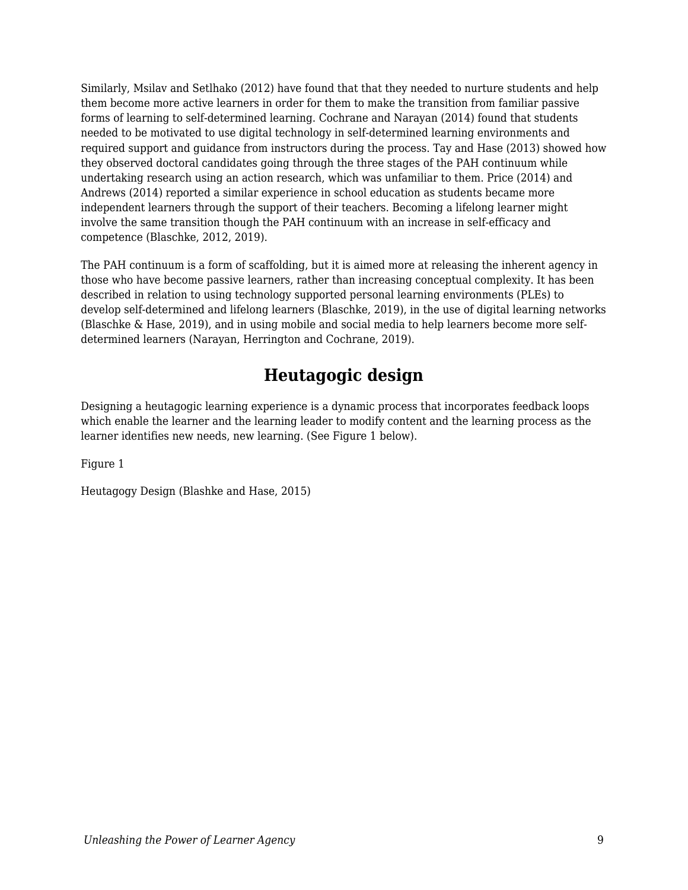Similarly, Msilav and Setlhako (2012) have found that that they needed to nurture students and help them become more active learners in order for them to make the transition from familiar passive forms of learning to self-determined learning. Cochrane and Narayan (2014) found that students needed to be motivated to use digital technology in self-determined learning environments and required support and guidance from instructors during the process. Tay and Hase (2013) showed how they observed doctoral candidates going through the three stages of the PAH continuum while undertaking research using an action research, which was unfamiliar to them. Price (2014) and Andrews (2014) reported a similar experience in school education as students became more independent learners through the support of their teachers. Becoming a lifelong learner might involve the same transition though the PAH continuum with an increase in self-efficacy and competence (Blaschke, 2012, 2019).

The PAH continuum is a form of scaffolding, but it is aimed more at releasing the inherent agency in those who have become passive learners, rather than increasing conceptual complexity. It has been described in relation to using technology supported personal learning environments (PLEs) to develop self-determined and lifelong learners (Blaschke, 2019), in the use of digital learning networks (Blaschke & Hase, 2019), and in using mobile and social media to help learners become more selfdetermined learners (Narayan, Herrington and Cochrane, 2019).

# **Heutagogic design**

Designing a heutagogic learning experience is a dynamic process that incorporates feedback loops which enable the learner and the learning leader to modify content and the learning process as the learner identifies new needs, new learning. (See Figure 1 below).

Figure 1

Heutagogy Design (Blashke and Hase, 2015)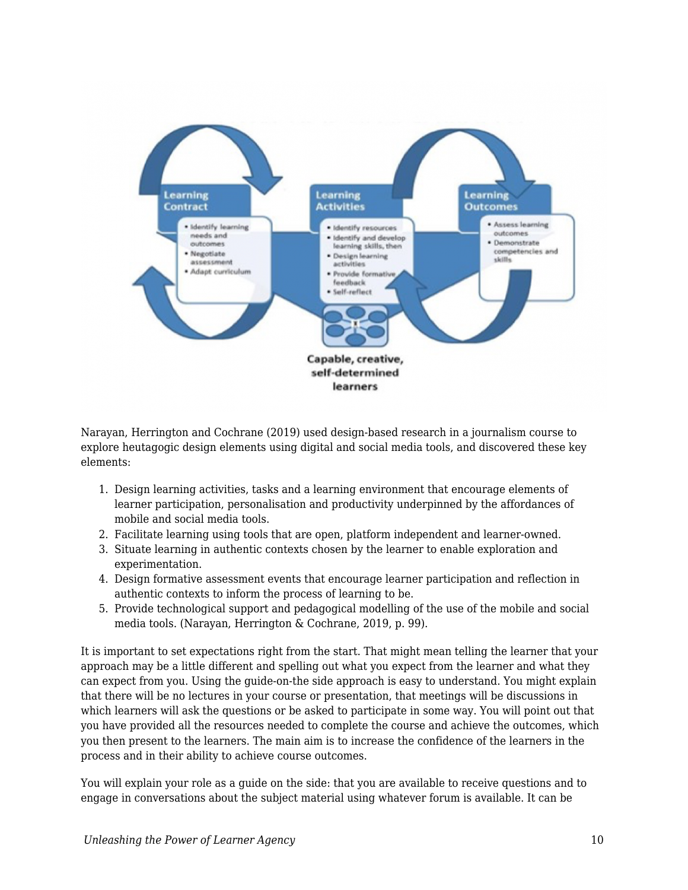

Narayan, Herrington and Cochrane (2019) used design-based research in a journalism course to explore heutagogic design elements using digital and social media tools, and discovered these key elements:

- 1. Design learning activities, tasks and a learning environment that encourage elements of learner participation, personalisation and productivity underpinned by the affordances of mobile and social media tools.
- 2. Facilitate learning using tools that are open, platform independent and learner-owned.
- 3. Situate learning in authentic contexts chosen by the learner to enable exploration and experimentation.
- 4. Design formative assessment events that encourage learner participation and reflection in authentic contexts to inform the process of learning to be.
- 5. Provide technological support and pedagogical modelling of the use of the mobile and social media tools. (Narayan, Herrington & Cochrane, 2019, p. 99).

It is important to set expectations right from the start. That might mean telling the learner that your approach may be a little different and spelling out what you expect from the learner and what they can expect from you. Using the guide-on-the side approach is easy to understand. You might explain that there will be no lectures in your course or presentation, that meetings will be discussions in which learners will ask the questions or be asked to participate in some way. You will point out that you have provided all the resources needed to complete the course and achieve the outcomes, which you then present to the learners. The main aim is to increase the confidence of the learners in the process and in their ability to achieve course outcomes.

You will explain your role as a guide on the side: that you are available to receive questions and to engage in conversations about the subject material using whatever forum is available. It can be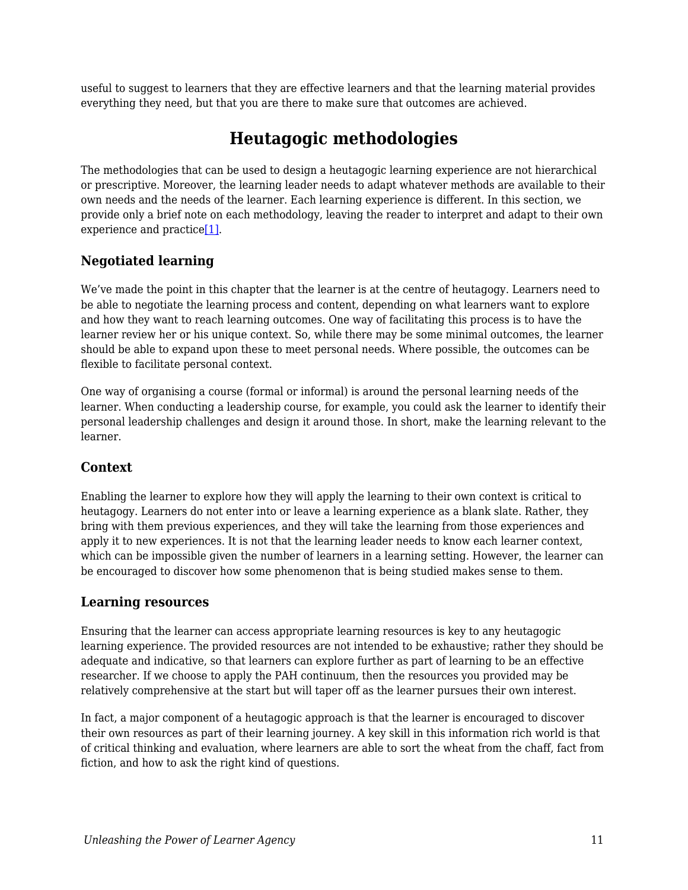useful to suggest to learners that they are effective learners and that the learning material provides everything they need, but that you are there to make sure that outcomes are achieved.

# **Heutagogic methodologies**

The methodologies that can be used to design a heutagogic learning experience are not hierarchical or prescriptive. Moreover, the learning leader needs to adapt whatever methods are available to their own needs and the needs of the learner. Each learning experience is different. In this section, we provide only a brief note on each methodology, leaving the reader to interpret and adapt to their own experience and practice<sup>[1]</sup>.

#### <span id="page-10-0"></span>**Negotiated learning**

We've made the point in this chapter that the learner is at the centre of heutagogy. Learners need to be able to negotiate the learning process and content, depending on what learners want to explore and how they want to reach learning outcomes. One way of facilitating this process is to have the learner review her or his unique context. So, while there may be some minimal outcomes, the learner should be able to expand upon these to meet personal needs. Where possible, the outcomes can be flexible to facilitate personal context.

One way of organising a course (formal or informal) is around the personal learning needs of the learner. When conducting a leadership course, for example, you could ask the learner to identify their personal leadership challenges and design it around those. In short, make the learning relevant to the learner.

#### **Context**

Enabling the learner to explore how they will apply the learning to their own context is critical to heutagogy. Learners do not enter into or leave a learning experience as a blank slate. Rather, they bring with them previous experiences, and they will take the learning from those experiences and apply it to new experiences. It is not that the learning leader needs to know each learner context, which can be impossible given the number of learners in a learning setting. However, the learner can be encouraged to discover how some phenomenon that is being studied makes sense to them.

#### **Learning resources**

Ensuring that the learner can access appropriate learning resources is key to any heutagogic learning experience. The provided resources are not intended to be exhaustive; rather they should be adequate and indicative, so that learners can explore further as part of learning to be an effective researcher. If we choose to apply the PAH continuum, then the resources you provided may be relatively comprehensive at the start but will taper off as the learner pursues their own interest.

In fact, a major component of a heutagogic approach is that the learner is encouraged to discover their own resources as part of their learning journey. A key skill in this information rich world is that of critical thinking and evaluation, where learners are able to sort the wheat from the chaff, fact from fiction, and how to ask the right kind of questions.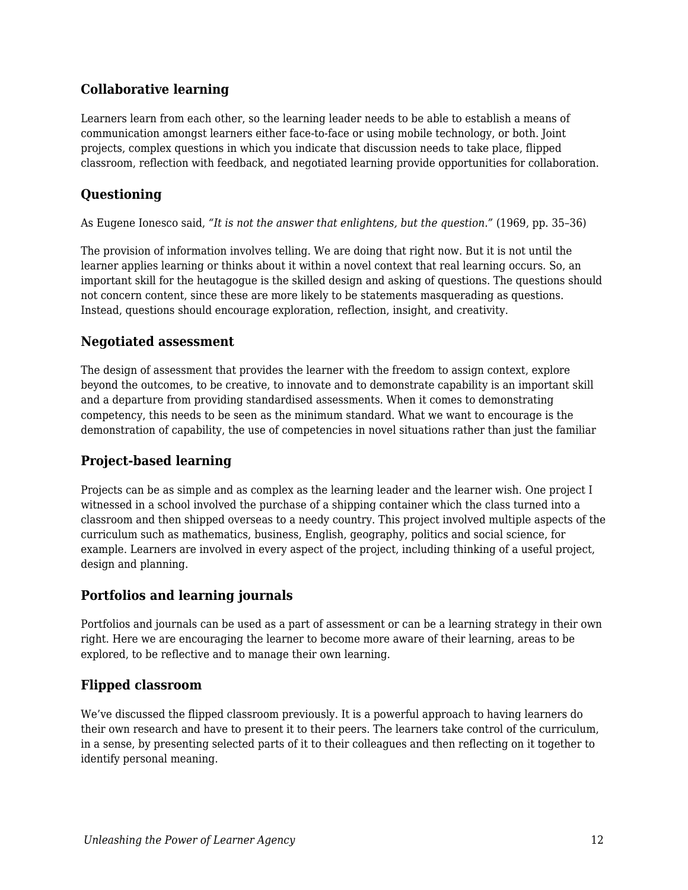#### **Collaborative learning**

Learners learn from each other, so the learning leader needs to be able to establish a means of communication amongst learners either face-to-face or using mobile technology, or both. Joint projects, complex questions in which you indicate that discussion needs to take place, flipped classroom, reflection with feedback, and negotiated learning provide opportunities for collaboration.

#### **Questioning**

As Eugene Ionesco said, *"It is not the answer that enlightens, but the question."* (1969, pp. 35–36)

The provision of information involves telling. We are doing that right now. But it is not until the learner applies learning or thinks about it within a novel context that real learning occurs. So, an important skill for the heutagogue is the skilled design and asking of questions. The questions should not concern content, since these are more likely to be statements masquerading as questions. Instead, questions should encourage exploration, reflection, insight, and creativity.

#### **Negotiated assessment**

The design of assessment that provides the learner with the freedom to assign context, explore beyond the outcomes, to be creative, to innovate and to demonstrate capability is an important skill and a departure from providing standardised assessments. When it comes to demonstrating competency, this needs to be seen as the minimum standard. What we want to encourage is the demonstration of capability, the use of competencies in novel situations rather than just the familiar

#### **Project-based learning**

Projects can be as simple and as complex as the learning leader and the learner wish. One project I witnessed in a school involved the purchase of a shipping container which the class turned into a classroom and then shipped overseas to a needy country. This project involved multiple aspects of the curriculum such as mathematics, business, English, geography, politics and social science, for example. Learners are involved in every aspect of the project, including thinking of a useful project, design and planning.

#### **Portfolios and learning journals**

Portfolios and journals can be used as a part of assessment or can be a learning strategy in their own right. Here we are encouraging the learner to become more aware of their learning, areas to be explored, to be reflective and to manage their own learning.

#### **Flipped classroom**

We've discussed the flipped classroom previously. It is a powerful approach to having learners do their own research and have to present it to their peers. The learners take control of the curriculum, in a sense, by presenting selected parts of it to their colleagues and then reflecting on it together to identify personal meaning.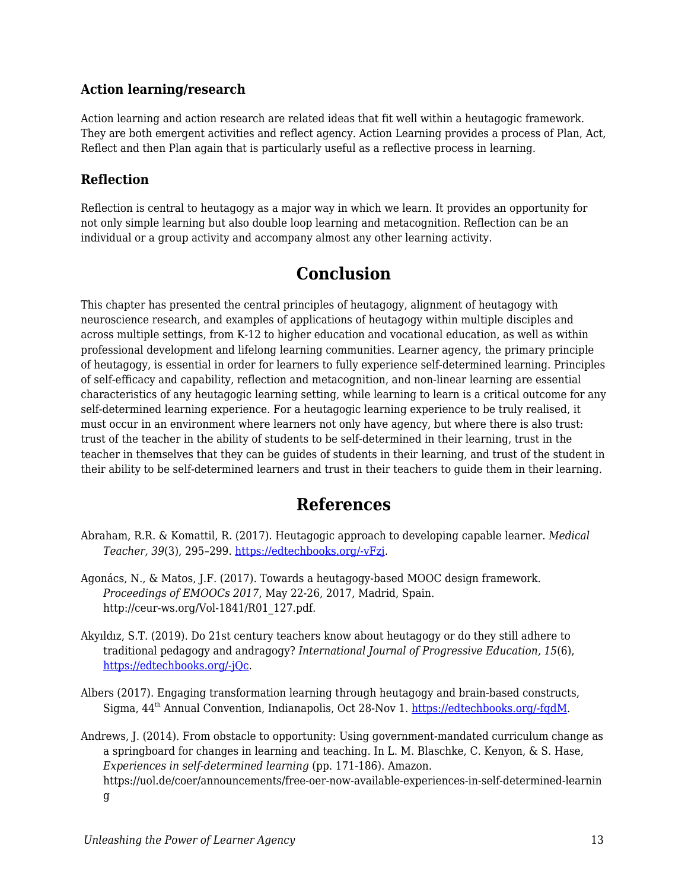#### **Action learning/research**

Action learning and action research are related ideas that fit well within a heutagogic framework. They are both emergent activities and reflect agency. Action Learning provides a process of Plan, Act, Reflect and then Plan again that is particularly useful as a reflective process in learning.

#### **Reflection**

Reflection is central to heutagogy as a major way in which we learn. It provides an opportunity for not only simple learning but also double loop learning and metacognition. Reflection can be an individual or a group activity and accompany almost any other learning activity.

# **Conclusion**

This chapter has presented the central principles of heutagogy, alignment of heutagogy with neuroscience research, and examples of applications of heutagogy within multiple disciples and across multiple settings, from K-12 to higher education and vocational education, as well as within professional development and lifelong learning communities. Learner agency, the primary principle of heutagogy, is essential in order for learners to fully experience self-determined learning. Principles of self-efficacy and capability, reflection and metacognition, and non-linear learning are essential characteristics of any heutagogic learning setting, while learning to learn is a critical outcome for any self-determined learning experience. For a heutagogic learning experience to be truly realised, it must occur in an environment where learners not only have agency, but where there is also trust: trust of the teacher in the ability of students to be self-determined in their learning, trust in the teacher in themselves that they can be guides of students in their learning, and trust of the student in their ability to be self-determined learners and trust in their teachers to guide them in their learning.

# **References**

- Abraham, R.R. & Komattil, R. (2017). Heutagogic approach to developing capable learner. *Medical Teacher, 39*(3), 295–299. [https://edtechbooks.org/-vFzj.](http://www.tandfonline.com/doi/abs/10.1080/0142159X.2017.1270433)
- Agonács, N., & Matos, J.F. (2017). Towards a heutagogy-based MOOC design framework. *Proceedings of EMOOCs 2017*, May 22-26, 2017, Madrid, Spain. http://ceur-ws.org/Vol-1841/R01\_127.pdf.
- Akyıldız, S.T. (2019). Do 21st century teachers know about heutagogy or do they still adhere to traditional pedagogy and andragogy? *International Journal of Progressive Education, 15*(6), [https://edtechbooks.org/-jQc.](https://files.eric.ed.gov/fulltext/EJ1237231.pdf)
- Albers (2017). Engaging transformation learning through heutagogy and brain-based constructs, Sigma,  $44<sup>th</sup>$  Annual Convention, Indianapolis, Oct 28-Nov 1. https://edtechbooks.org/-fgdM.
- Andrews, J. (2014). From obstacle to opportunity: Using government-mandated curriculum change as a springboard for changes in learning and teaching. In L. M. Blaschke, C. Kenyon, & S. Hase, *Experiences in self-determined learning* (pp. 171-186). Amazon. https://uol.de/coer/announcements/free-oer-now-available-experiences-in-self-determined-learnin g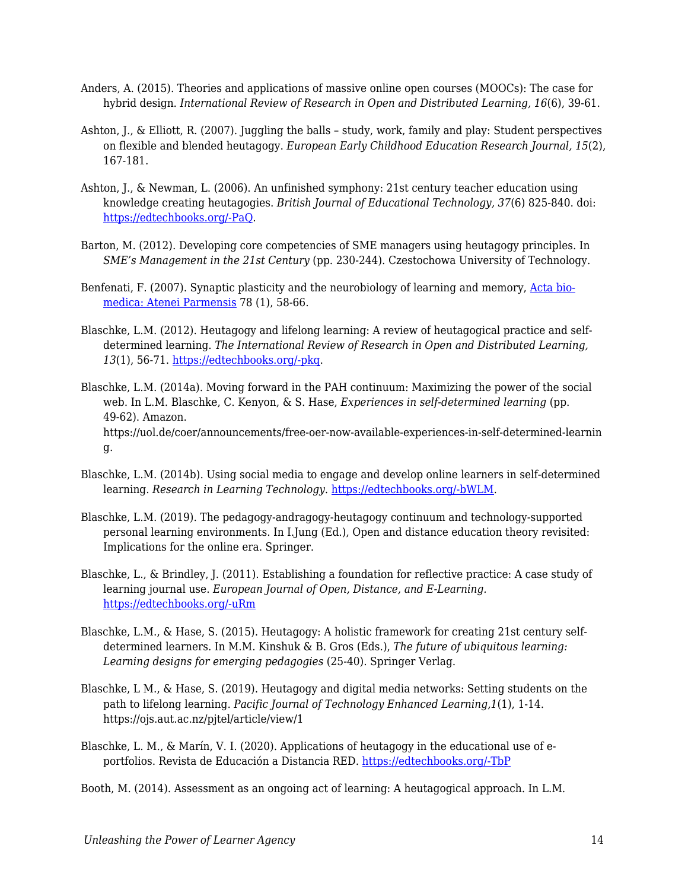- Anders, A. (2015). Theories and applications of massive online open courses (MOOCs): The case for hybrid design. *International Review of Research in Open and Distributed Learning, 16*(6), 39-61.
- Ashton, J., & Elliott, R. (2007). Juggling the balls study, work, family and play: Student perspectives on flexible and blended heutagogy. *European Early Childhood Education Research Journal, 15*(2), 167-181.
- Ashton, J., & Newman, L. (2006). An unfinished symphony: 21st century teacher education using knowledge creating heutagogies. *British Journal of Educational Technology, 37*(6) 825-840. doi: [https://edtechbooks.org/-PaQ](https://doi.org/10.1111/j.1467-8535.2006.00662.x).
- Barton, M. (2012). Developing core competencies of SME managers using heutagogy principles. In *SME's Management in the 21st Century* (pp. 230-244). Czestochowa University of Technology.
- Benfenati, F. (2007). Synaptic plasticity and the neurobiology of learning and memory, [Acta bio](https://www.researchgate.net/journal/Acta-bio-medica-Atenei-Parmensis-0392-4203)[medica: Atenei Parmensis](https://www.researchgate.net/journal/Acta-bio-medica-Atenei-Parmensis-0392-4203) 78 (1), 58-66.
- Blaschke, L.M. (2012). Heutagogy and lifelong learning: A review of heutagogical practice and selfdetermined learning. *The International Review of Research in Open and Distributed Learning, 13*(1), 56-71. [https://edtechbooks.org/-pkq.](http://www.irrodl.org/index.php/irrodl/article/view/1076/2087)
- Blaschke, L.M. (2014a). Moving forward in the PAH continuum: Maximizing the power of the social web. In L.M. Blaschke, C. Kenyon, & S. Hase, *Experiences in self-determined learning* (pp. 49-62). Amazon. https://uol.de/coer/announcements/free-oer-now-available-experiences-in-self-determined-learnin g.
- Blaschke, L.M. (2014b). Using social media to engage and develop online learners in self-determined learning. *Research in Learning Technology*. [https://edtechbooks.org/-bWLM.](http://www.researchinlearningtechnology.net/index.php/rlt/article/view/21635/html)
- Blaschke, L.M. (2019). The pedagogy-andragogy-heutagogy continuum and technology-supported personal learning environments. In I.Jung (Ed.), Open and distance education theory revisited: Implications for the online era. Springer.
- Blaschke, L., & Brindley, J. (2011). Establishing a foundation for reflective practice: A case study of learning journal use. *European Journal of Open, Distance, and E-Learning.* [https://edtechbooks.org/-uRm](https://old.eurodl.org/materials/special/2011/Blaschke_Brindley.pdf)
- Blaschke, L.M., & Hase, S. (2015). Heutagogy: A holistic framework for creating 21st century selfdetermined learners. In M.M. Kinshuk & B. Gros (Eds.), *The future of ubiquitous learning: Learning designs for emerging pedagogies* (25-40). Springer Verlag.
- Blaschke, L M., & Hase, S. (2019). Heutagogy and digital media networks: Setting students on the path to lifelong learning. *Pacific Journal of Technology Enhanced Learning,1*(1), 1-14. https://ojs.aut.ac.nz/pjtel/article/view/1
- Blaschke, L. M., & Marín, V. I. (2020). Applications of heutagogy in the educational use of eportfolios. Revista de Educación a Distancia RED. [https://edtechbooks.org/-TbP](https://revistas.um.es/red/article/view/407831/290621)

Booth, M. (2014). Assessment as an ongoing act of learning: A heutagogical approach. In L.M.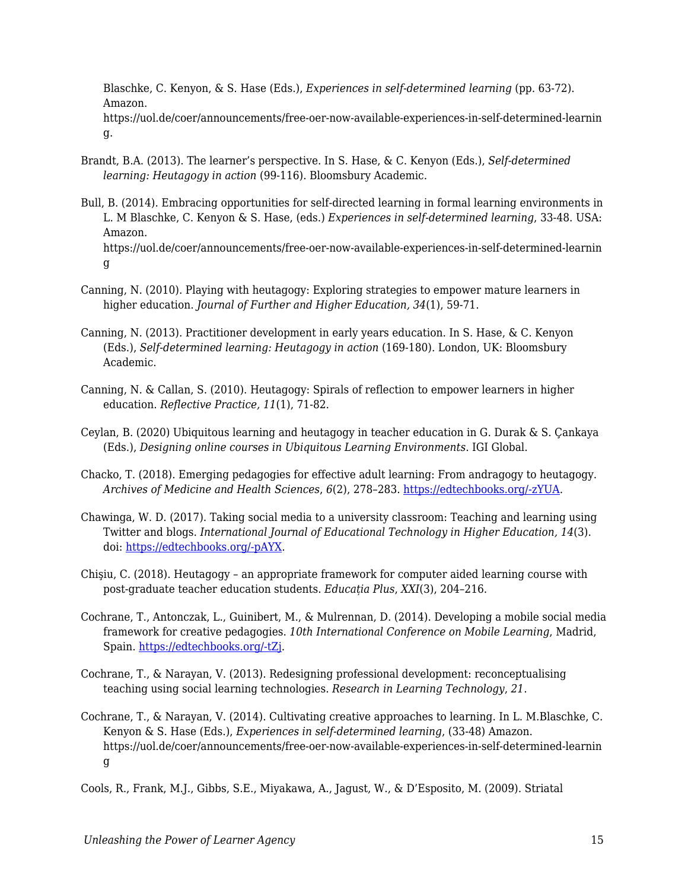Blaschke, C. Kenyon, & S. Hase (Eds.), *Experiences in self-determined learning* (pp. 63-72). Amazon.

https://uol.de/coer/announcements/free-oer-now-available-experiences-in-self-determined-learnin g.

- Brandt, B.A. (2013). The learner's perspective. In S. Hase, & C. Kenyon (Eds.), *Self-determined learning: Heutagogy in action* (99-116). Bloomsbury Academic.
- Bull, B. (2014). Embracing opportunities for self-directed learning in formal learning environments in L. M Blaschke, C. Kenyon & S. Hase, (eds.) *Experiences in self-determined learning*, 33-48. USA: Amazon. https://uol.de/coer/announcements/free-oer-now-available-experiences-in-self-determined-learnin g
- Canning, N. (2010). Playing with heutagogy: Exploring strategies to empower mature learners in higher education. *Journal of Further and Higher Education, 34*(1), 59-71.
- Canning, N. (2013). Practitioner development in early years education. In S. Hase, & C. Kenyon (Eds.), *Self-determined learning: Heutagogy in action* (169-180). London, UK: Bloomsbury Academic.
- Canning, N. & Callan, S. (2010). Heutagogy: Spirals of reflection to empower learners in higher education. *Reflective Practice, 11*(1), 71-82.
- Ceylan, B. (2020) Ubiquitous learning and heutagogy in teacher education in G. Durak & S. Çankaya (Eds.), *Designing online courses in Ubiquitous Learning Environments*. IGI Global.
- Chacko, T. (2018). Emerging pedagogies for effective adult learning: From andragogy to heutagogy. *Archives of Medicine and Health Sciences*, *6*(2), 278–283. [https://edtechbooks.org/-zYUA](https://doi.org/10.4103/amhs.amhs_141_18).
- Chawinga, W. D. (2017). Taking social media to a university classroom: Teaching and learning using Twitter and blogs. *International Journal of Educational Technology in Higher Education, 14*(3). doi: [https://edtechbooks.org/-pAYX.](https://doi.org/10.1186/s41239-017-0041-6)
- Chişiu, C. (2018). Heutagogy an appropriate framework for computer aided learning course with post-graduate teacher education students. *Educația Plus*, *XXI*(3), 204–216.
- Cochrane, T., Antonczak, L., Guinibert, M., & Mulrennan, D. (2014). Developing a mobile social media framework for creative pedagogies. *10th International Conference on Mobile Learning*, Madrid, Spain. [https://edtechbooks.org/-tZj.](https://files.eric.ed.gov/fulltext/ED557241.pdf)
- Cochrane, T., & Narayan, V. (2013). Redesigning professional development: reconceptualising teaching using social learning technologies. *Research in Learning Technology*, *21*.
- Cochrane, T., & Narayan, V. (2014). Cultivating creative approaches to learning. In L. M.Blaschke, C. Kenyon & S. Hase (Eds.), *Experiences in self-determined learning*, (33-48) Amazon. https://uol.de/coer/announcements/free-oer-now-available-experiences-in-self-determined-learnin g

Cools, R., Frank, M.J., Gibbs, S.E., Miyakawa, A., Jagust, W., & D'Esposito, M. (2009). Striatal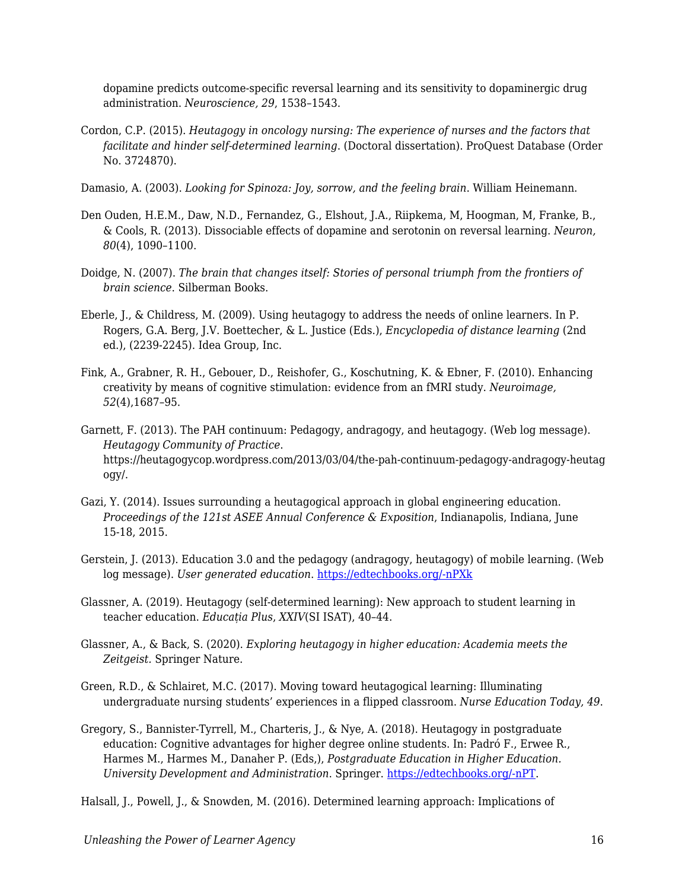dopamine predicts outcome-specific reversal learning and its sensitivity to dopaminergic drug administration. *Neuroscience, 29*, 1538–1543.

- Cordon, C.P. (2015). *Heutagogy in oncology nursing: The experience of nurses and the factors that facilitate and hinder self-determined learning*. (Doctoral dissertation). ProQuest Database (Order No. 3724870).
- Damasio, A. (2003). *Looking for Spinoza: Joy, sorrow, and the feeling brain*. William Heinemann.
- Den Ouden, H.E.M., Daw, N.D., Fernandez, G., Elshout, J.A., Riipkema, M, Hoogman, M, Franke, B., & Cools, R. (2013). Dissociable effects of dopamine and serotonin on reversal learning. *Neuron, 80*(4), 1090–1100.
- Doidge, N. (2007). *The brain that changes itself: Stories of personal triumph from the frontiers of brain science*. Silberman Books.
- Eberle, J., & Childress, M. (2009). Using heutagogy to address the needs of online learners. In P. Rogers, G.A. Berg, J.V. Boettecher, & L. Justice (Eds.), *Encyclopedia of distance learning* (2nd ed.), (2239-2245). Idea Group, Inc.
- Fink, A., Grabner, R. H., Gebouer, D., Reishofer, G., Koschutning, K. & Ebner, F. (2010). Enhancing creativity by means of cognitive stimulation: evidence from an fMRI study. *Neuroimage, 52*(4),1687–95.
- Garnett, F. (2013). The PAH continuum: Pedagogy, andragogy, and heutagogy. (Web log message). *Heutagogy Community of Practice*. https://heutagogycop.wordpress.com/2013/03/04/the-pah-continuum-pedagogy-andragogy-heutag ogy/.
- Gazi, Y. (2014). Issues surrounding a heutagogical approach in global engineering education. *Proceedings of the 121st ASEE Annual Conference & Exposition*, Indianapolis, Indiana, June 15-18, 2015.
- Gerstein, J. (2013). Education 3.0 and the pedagogy (andragogy, heutagogy) of mobile learning. (Web log message). *User generated education*. [https://edtechbooks.org/-nPXk](http://usergeneratededucation.wordpress.com/2013/05/13)
- Glassner, A. (2019). Heutagogy (self-determined learning): New approach to student learning in teacher education. *Educația Plus*, *XXIV*(SI ISAT), 40–44.
- Glassner, A., & Back, S. (2020). *Exploring heutagogy in higher education: Academia meets the Zeitgeist.* Springer Nature.
- Green, R.D., & Schlairet, M.C. (2017). Moving toward heutagogical learning: Illuminating undergraduate nursing students' experiences in a flipped classroom. *Nurse Education Today, 49*.
- Gregory, S., Bannister-Tyrrell, M., Charteris, J., & Nye, A. (2018). Heutagogy in postgraduate education: Cognitive advantages for higher degree online students. In: Padró F., Erwee R., Harmes M., Harmes M., Danaher P. (Eds,), *Postgraduate Education in Higher Education. University Development and Administration*. Springer. [https://edtechbooks.org/-nPT.](https://doi.org/10.1007/978-981-10-5249-1_32)

Halsall, J., Powell, J., & Snowden, M. (2016). Determined learning approach: Implications of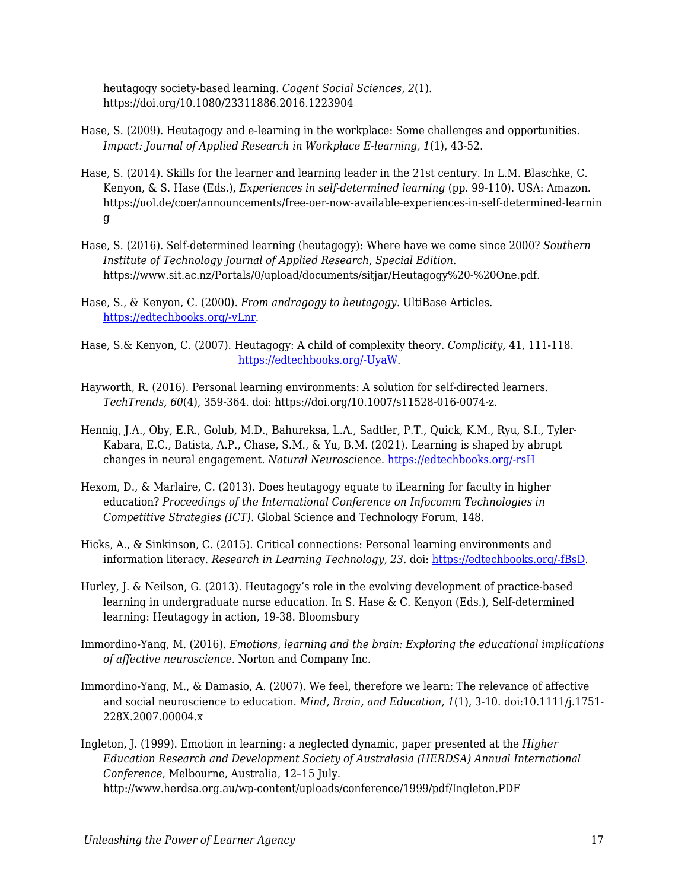heutagogy society-based learning. *Cogent Social Sciences, 2*(1). https://doi.org/10.1080/23311886.2016.1223904

- Hase, S. (2009). Heutagogy and e-learning in the workplace: Some challenges and opportunities. *Impact: Journal of Applied Research in Workplace E-learning, 1*(1), 43-52.
- Hase, S. (2014). Skills for the learner and learning leader in the 21st century. In L.M. Blaschke, C. Kenyon, & S. Hase (Eds.), *Experiences in self-determined learning* (pp. 99-110). USA: Amazon. https://uol.de/coer/announcements/free-oer-now-available-experiences-in-self-determined-learnin g
- Hase, S. (2016). Self-determined learning (heutagogy): Where have we come since 2000? *Southern Institute of Technology Journal of Applied Research, Special Edition*. https://www.sit.ac.nz/Portals/0/upload/documents/sitjar/Heutagogy%20-%20One.pdf.
- Hase, S., & Kenyon, C. (2000). *From andragogy to heutagogy*. UltiBase Articles. [https://edtechbooks.org/-vLnr.](https://epubs.scu.edu.au/gcm_pubs/99/)
- Hase, S.& Kenyon, C. (2007). Heutagogy: A child of complexity theory. *Complicity,* 41, 111-118. [https://edtechbooks.org/-UyaW.](http://www.complexityandeducation.ualberta.ca/COMPLICITY4/Complicity4_TOC.htm)
- Hayworth, R. (2016). Personal learning environments: A solution for self-directed learners. *TechTrends, 60*(4), 359-364. doi: https://doi.org/10.1007/s11528-016-0074-z.
- Hennig, J.A., Oby, E.R., Golub, M.D., Bahureksa, L.A., Sadtler, P.T., Quick, K.M., Ryu, S.I., Tyler-Kabara, E.C., Batista, A.P., Chase, S.M., & Yu, B.M. (2021). Learning is shaped by abrupt changes in neural engagement. *Natural Neurosci*ence. [https://edtechbooks.org/-rsH](https://doi.org/10.1038/s41593-021-00822-8)
- Hexom, D., & Marlaire, C. (2013). Does heutagogy equate to iLearning for faculty in higher education? *Proceedings of the International Conference on Infocomm Technologies in Competitive Strategies (ICT)*. Global Science and Technology Forum, 148.
- Hicks, A., & Sinkinson, C. (2015). Critical connections: Personal learning environments and information literacy. *Research in Learning Technology, 23*. doi: [https://edtechbooks.org/-fBsD.](http://dx.doi.org/10.3402/rlt.v23.21193)
- Hurley, J. & Neilson, G. (2013). Heutagogy's role in the evolving development of practice-based learning in undergraduate nurse education. In S. Hase & C. Kenyon (Eds.), Self-determined learning: Heutagogy in action, 19-38. Bloomsbury
- Immordino-Yang, M. (2016). *Emotions, learning and the brain: Exploring the educational implications of affective neuroscience*. Norton and Company Inc.
- Immordino-Yang, M., & Damasio, A. (2007). We feel, therefore we learn: The relevance of affective and social neuroscience to education. *Mind, Brain, and Education, 1*(1), 3-10. doi:10.1111/j.1751- 228X.2007.00004.x
- Ingleton, J. (1999). Emotion in learning: a neglected dynamic, paper presented at the *Higher Education Research and Development Society of Australasia (HERDSA) Annual International Conference*, Melbourne, Australia, 12–15 July. http://www.herdsa.org.au/wp-content/uploads/conference/1999/pdf/Ingleton.PDF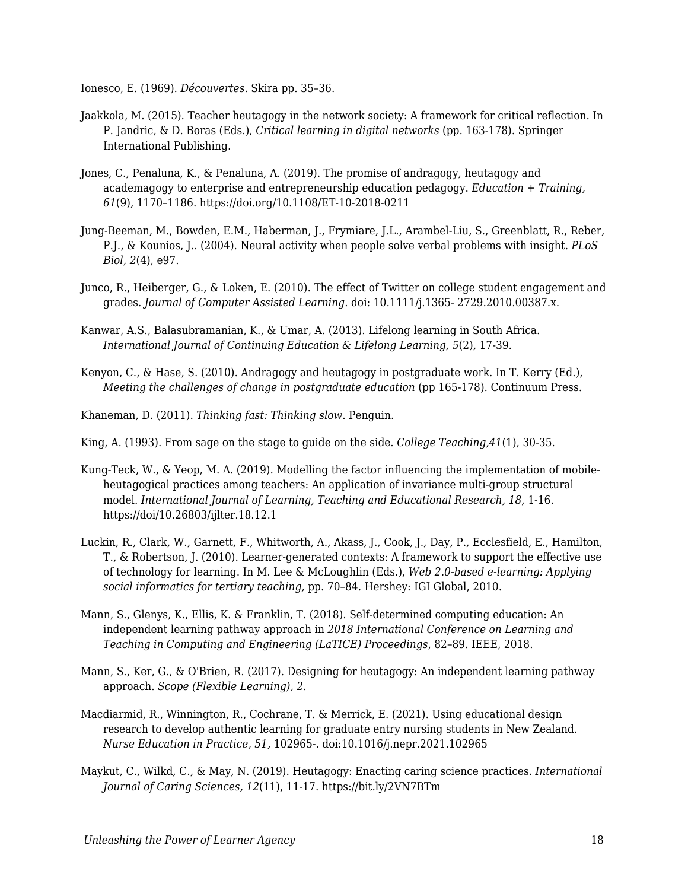Ionesco, E. (1969). *Découvertes.* Skira pp. 35–36.

- Jaakkola, M. (2015). Teacher heutagogy in the network society: A framework for critical reflection. In P. Jandric, & D. Boras (Eds.), *Critical learning in digital networks* (pp. 163-178). Springer International Publishing.
- Jones, C., Penaluna, K., & Penaluna, A. (2019). The promise of andragogy, heutagogy and academagogy to enterprise and entrepreneurship education pedagogy. *Education + Training, 61*(9), 1170–1186. https://doi.org/10.1108/ET-10-2018-0211
- Jung-Beeman, M., Bowden, E.M., Haberman, J., Frymiare, J.L., Arambel-Liu, S., Greenblatt, R., Reber, P.J., & Kounios, J.. (2004). Neural activity when people solve verbal problems with insight. *PLoS Biol, 2*(4), e97.
- Junco, R., Heiberger, G., & Loken, E. (2010). The effect of Twitter on college student engagement and grades. *Journal of Computer Assisted Learning*. doi: 10.1111/j.1365- 2729.2010.00387.x.
- Kanwar, A.S., Balasubramanian, K., & Umar, A. (2013). Lifelong learning in South Africa. *International Journal of Continuing Education & Lifelong Learning, 5*(2), 17-39.
- Kenyon, C., & Hase, S. (2010). Andragogy and heutagogy in postgraduate work. In T. Kerry (Ed.), *Meeting the challenges of change in postgraduate education* (pp 165-178). Continuum Press.
- Khaneman, D. (2011). *Thinking fast: Thinking slow*. Penguin.
- King, A. (1993). From sage on the stage to guide on the side. *College Teaching,41*(1), 30-35.
- Kung-Teck, W., & Yeop, M. A. (2019). Modelling the factor influencing the implementation of mobileheutagogical practices among teachers: An application of invariance multi-group structural model. *International Journal of Learning, Teaching and Educational Research, 18*, 1-16. https://doi/10.26803/ijlter.18.12.1
- Luckin, R., Clark, W., Garnett, F., Whitworth, A., Akass, J., Cook, J., Day, P., Ecclesfield, E., Hamilton, T., & Robertson, J. (2010). Learner-generated contexts: A framework to support the effective use of technology for learning. In M. Lee & McLoughlin (Eds.), *Web 2.0-based e-learning: Applying social informatics for tertiary teaching,* pp. 70–84. Hershey: IGI Global, 2010.
- Mann, S., Glenys, K., Ellis, K. & Franklin, T. (2018). Self-determined computing education: An independent learning pathway approach in *2018 International Conference on Learning and Teaching in Computing and Engineering (LaTICE) Proceedings*, 82–89. IEEE, 2018.
- Mann, S., Ker, G., & O'Brien, R. (2017). Designing for heutagogy: An independent learning pathway approach. *Scope (Flexible Learning), 2*.
- Macdiarmid, R., Winnington, R., Cochrane, T. & Merrick, E. (2021). Using educational design research to develop authentic learning for graduate entry nursing students in New Zealand. *Nurse Education in Practice, 51,* 102965-. doi:10.1016/j.nepr.2021.102965
- Maykut, C., Wilkd, C., & May, N. (2019). Heutagogy: Enacting caring science practices. *International Journal of Caring Sciences, 12*(11), 11-17. https://bit.ly/2VN7BTm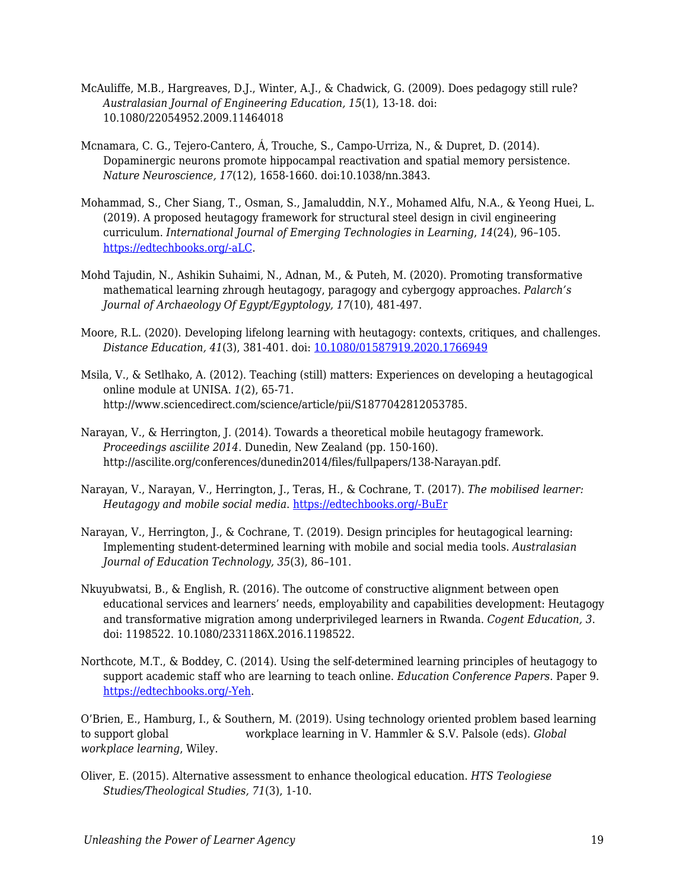- McAuliffe, M.B., Hargreaves, D.J., Winter, A.J., & Chadwick, G. (2009). Does pedagogy still rule? *Australasian Journal of Engineering Education, 15*(1), 13-18. doi: 10.1080/22054952.2009.11464018
- Mcnamara, C. G., Tejero-Cantero, Á, Trouche, S., Campo-Urriza, N., & Dupret, D. (2014). Dopaminergic neurons promote hippocampal reactivation and spatial memory persistence. *Nature Neuroscience, 17*(12), 1658-1660. doi:10.1038/nn.3843.
- Mohammad, S., Cher Siang, T., Osman, S., Jamaluddin, N.Y., Mohamed Alfu, N.A., & Yeong Huei, L. (2019). A proposed heutagogy framework for structural steel design in civil engineering curriculum. *International Journal of Emerging Technologies in Learning*, *14*(24), 96–105. [https://edtechbooks.org/-aLC.](https://doi.org/10.3991/ijet.v14i24.12091)
- Mohd Tajudin, N., Ashikin Suhaimi, N., Adnan, M., & Puteh, M. (2020). Promoting transformative mathematical learning zhrough heutagogy, paragogy and cybergogy approaches. *Palarch's Journal of Archaeology Of Egypt/Egyptology, 17*(10), 481-497.
- Moore, R.L. (2020). Developing lifelong learning with heutagogy: contexts, critiques, and challenges. *Distance Education, 41*(3), 381-401. doi: [10.1080/01587919.2020.1766949](https://doi.org/10.1080/01587919.2020.1766949)
- Msila, V., & Setlhako, A. (2012). Teaching (still) matters: Experiences on developing a heutagogical online module at UNISA. *1*(2), 65-71. http://www.sciencedirect.com/science/article/pii/S1877042812053785.
- Narayan, V., & Herrington, J. (2014). Towards a theoretical mobile heutagogy framework. *Proceedings asciilite 2014*. Dunedin, New Zealand (pp. 150-160). http://ascilite.org/conferences/dunedin2014/files/fullpapers/138-Narayan.pdf.
- Narayan, V., Narayan, V., Herrington, J., Teras, H., & Cochrane, T. (2017). *The mobilised learner: Heutagogy and mobile social media*. [https://edtechbooks.org/-BuEr](http://researchrepository.murdoch.edu.au/id/eprint/36991/)
- Narayan, V., Herrington, J., & Cochrane, T. (2019). Design principles for heutagogical learning: Implementing student-determined learning with mobile and social media tools. *Australasian Journal of Education Technology, 35*(3), 86–101.
- Nkuyubwatsi, B., & English, R. (2016). The outcome of constructive alignment between open educational services and learners' needs, employability and capabilities development: Heutagogy and transformative migration among underprivileged learners in Rwanda. *Cogent Education, 3*. doi: 1198522. 10.1080/2331186X.2016.1198522.
- Northcote, M.T., & Boddey, C. (2014). Using the self-determined learning principles of heutagogy to support academic staff who are learning to teach online. *Education Conference Papers*. Paper 9. [https://edtechbooks.org/-Yeh](https://research.avondale.edu.au/edu_conferences/9/).

O'Brien, E., Hamburg, I., & Southern, M. (2019). Using technology oriented problem based learning to support global workplace learning in V. Hammler & S.V. Palsole (eds). *Global workplace learning*, Wiley.

Oliver, E. (2015). Alternative assessment to enhance theological education. *HTS Teologiese Studies/Theological Studies, 71*(3), 1-10.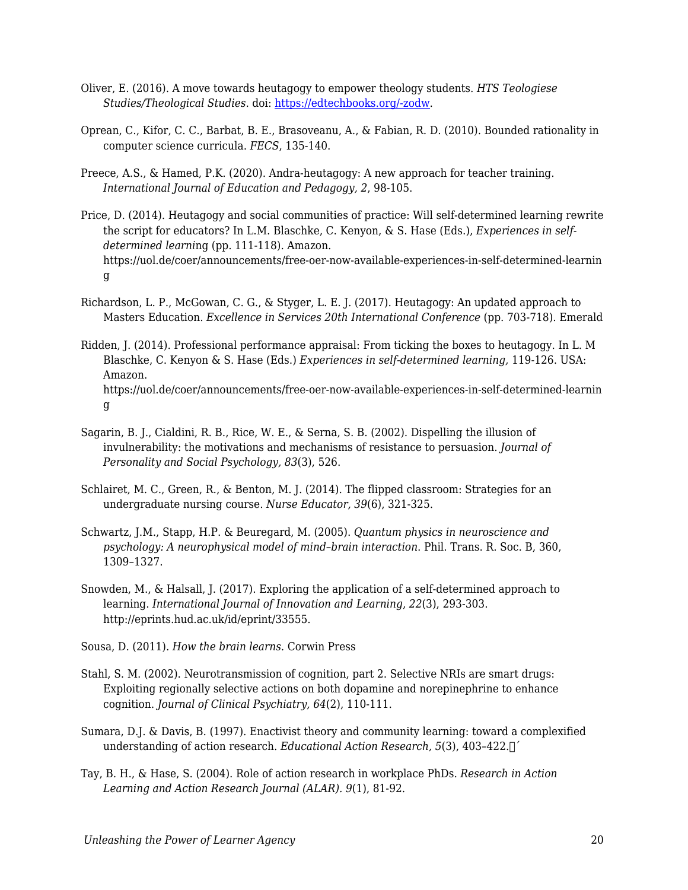- Oliver, E. (2016). A move towards heutagogy to empower theology students. *HTS Teologiese Studies/Theological Studies*. doi: [https://edtechbooks.org/-zodw.](http://dx.doi.org/10.4102/hts.v72i1.3394)
- Oprean, C., Kifor, C. C., Barbat, B. E., Brasoveanu, A., & Fabian, R. D. (2010). Bounded rationality in computer science curricula. *FECS*, 135-140.
- Preece, A.S., & Hamed, P.K. (2020). Andra-heutagogy: A new approach for teacher training. *International Journal of Education and Pedagogy, 2*, 98-105.
- Price, D. (2014). Heutagogy and social communities of practice: Will self-determined learning rewrite the script for educators? In L.M. Blaschke, C. Kenyon, & S. Hase (Eds.), *Experiences in selfdetermined learni*ng (pp. 111-118). Amazon. https://uol.de/coer/announcements/free-oer-now-available-experiences-in-self-determined-learnin g
- Richardson, L. P., McGowan, C. G., & Styger, L. E. J. (2017). Heutagogy: An updated approach to Masters Education. *Excellence in Services 20th International Conference* (pp. 703-718). Emerald
- Ridden, J. (2014). Professional performance appraisal: From ticking the boxes to heutagogy. In L. M Blaschke, C. Kenyon & S. Hase (Eds.) *Experiences in self-determined learning,* 119-126. USA: Amazon. https://uol.de/coer/announcements/free-oer-now-available-experiences-in-self-determined-learnin g
- Sagarin, B. J., Cialdini, R. B., Rice, W. E., & Serna, S. B. (2002). Dispelling the illusion of invulnerability: the motivations and mechanisms of resistance to persuasion. *Journal of Personality and Social Psychology, 83*(3), 526.
- Schlairet, M. C., Green, R., & Benton, M. J. (2014). The flipped classroom: Strategies for an undergraduate nursing course. *Nurse Educator, 39*(6), 321-325.
- Schwartz, J.M., Stapp, H.P. & Beuregard, M. (2005). *Quantum physics in neuroscience and psychology: A neurophysical model of mind–brain interaction*. Phil. Trans. R. Soc. B, 360, 1309–1327.
- Snowden, M., & Halsall, J. (2017). Exploring the application of a self-determined approach to learning. *International Journal of Innovation and Learning*, *22*(3), 293-303. http://eprints.hud.ac.uk/id/eprint/33555.
- Sousa, D. (2011). *How the brain learns*. Corwin Press
- Stahl, S. M. (2002). Neurotransmission of cognition, part 2. Selective NRIs are smart drugs: Exploiting regionally selective actions on both dopamine and norepinephrine to enhance cognition. *Journal of Clinical Psychiatry, 64*(2), 110-111.
- Sumara, D.J. & Davis, B. (1997). Enactivist theory and community learning: toward a complexified understanding of action research. *Educational Action Research, 5*(3), 403–422.
´
- Tay, B. H., & Hase, S. (2004). Role of action research in workplace PhDs. *Research in Action Learning and Action Research Journal (ALAR). 9*(1), 81-92.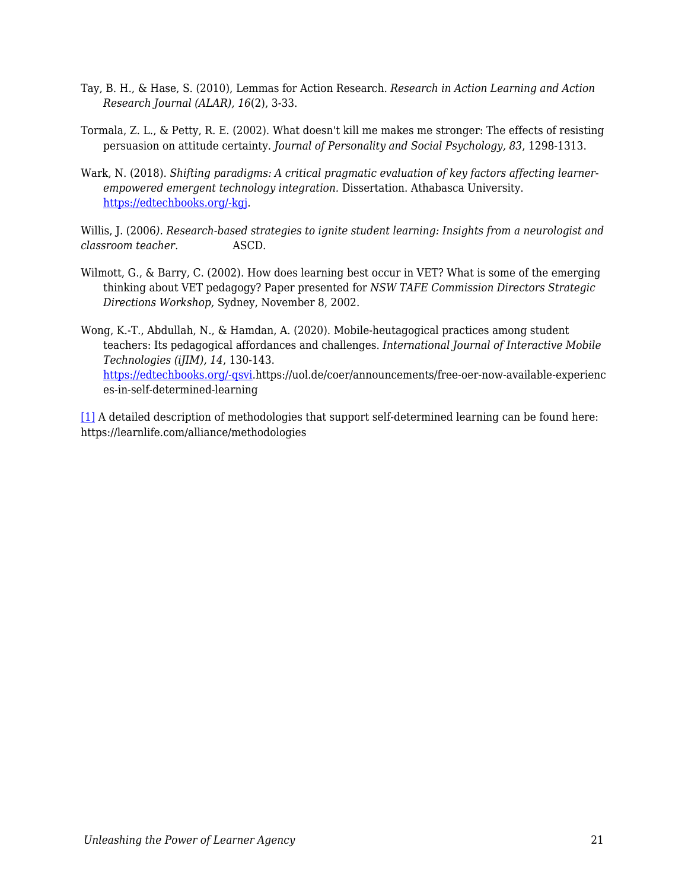- Tay, B. H., & Hase, S. (2010), Lemmas for Action Research. *Research in Action Learning and Action Research Journal (ALAR), 16*(2), 3-33.
- Tormala, Z. L., & Petty, R. E. (2002). What doesn't kill me makes me stronger: The effects of resisting persuasion on attitude certainty. *Journal of Personality and Social Psychology, 83*, 1298-1313.
- Wark, N. (2018). *Shifting paradigms: A critical pragmatic evaluation of key factors affecting learnerempowered emergent technology integration.* Dissertation. Athabasca University. [https://edtechbooks.org/-kgj](https://dt.athabascau.ca/jspui/bitstream/10791/274/4/NorineWarkFinal.pdf).

Willis, J. (2006*). Research-based strategies to ignite student learning: Insights from a neurologist and classroom teacher.* ASCD.

- Wilmott, G., & Barry, C. (2002). How does learning best occur in VET? What is some of the emerging thinking about VET pedagogy? Paper presented for *NSW TAFE Commission Directors Strategic Directions Workshop,* Sydney, November 8, 2002.
- Wong, K.-T., Abdullah, N., & Hamdan, A. (2020). Mobile-heutagogical practices among student teachers: Its pedagogical affordances and challenges. *International Journal of Interactive Mobile Technologies (iJIM), 14*, 130-143. [https://edtechbooks.org/-qsvi.](https://doi/10.3991/ijim.v14i02.11819)https://uol.de/coer/announcements/free-oer-now-available-experienc es-in-self-determined-learning

<span id="page-20-0"></span>[\[1\]](#page-10-0) A detailed description of methodologies that support self-determined learning can be found here: https://learnlife.com/alliance/methodologies